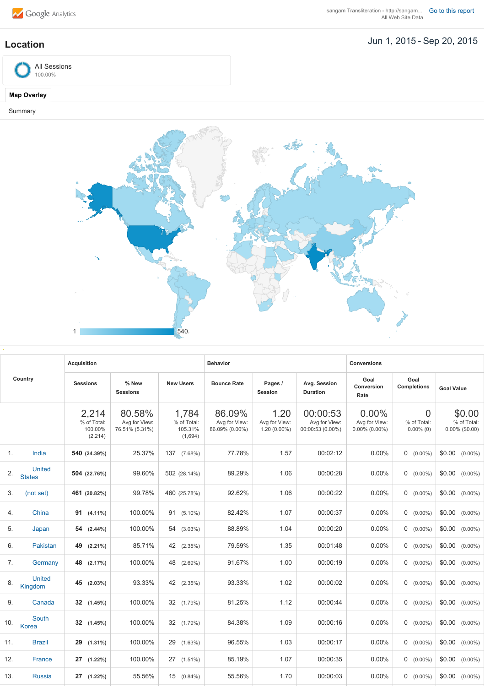

## **Location** Jun 1, 2015 - Sep 20, 2015



## **Map Overlay**

Summary



| Country |                         | <b>Acquisition</b>                          |                                           |                                            | <b>Behavior</b>                           |                                         |                                               | <b>Conversions</b>                         |                                  |                                            |
|---------|-------------------------|---------------------------------------------|-------------------------------------------|--------------------------------------------|-------------------------------------------|-----------------------------------------|-----------------------------------------------|--------------------------------------------|----------------------------------|--------------------------------------------|
|         |                         | <b>Sessions</b>                             | % New<br><b>Sessions</b>                  | <b>New Users</b>                           | <b>Bounce Rate</b>                        | Pages /<br><b>Session</b>               | Avg. Session<br><b>Duration</b>               | Goal<br>Conversion<br>Rate                 | Goal<br><b>Completions</b>       | <b>Goal Value</b>                          |
|         |                         | 2,214<br>% of Total:<br>100.00%<br>(2, 214) | 80.58%<br>Avg for View:<br>76.51% (5.31%) | 1,784<br>% of Total:<br>105.31%<br>(1,694) | 86.09%<br>Avg for View:<br>86.09% (0.00%) | 1.20<br>Avg for View:<br>$1.20(0.00\%)$ | 00:00:53<br>Avg for View:<br>00:00:53 (0.00%) | 0.00%<br>Avg for View:<br>$0.00\%$ (0.00%) | 0<br>% of Total:<br>$0.00\%$ (0) | \$0.00<br>% of Total:<br>$0.00\%$ (\$0.00) |
| 1.      | India                   | 540 (24.39%)                                | 25.37%                                    | 137<br>$(7.68\%)$                          | 77.78%                                    | 1.57                                    | 00:02:12                                      | 0.00%                                      | $0$ (0.00%)                      | \$0.00<br>$(0.00\%)$                       |
| 2.      | United<br><b>States</b> | 504 (22.76%)                                | 99.60%                                    | 502 (28.14%)                               | 89.29%                                    | 1.06                                    | 00:00:28                                      | 0.00%                                      | $0$ (0.00%)                      | \$0.00<br>$(0.00\%)$                       |
| 3.      | (not set)               | 461 (20.82%)                                | 99.78%                                    | 460 (25.78%)                               | 92.62%                                    | 1.06                                    | 00:00:22                                      | 0.00%                                      | $0$ (0.00%)                      | \$0.00<br>$(0.00\%)$                       |
| 4.      | China                   | 91<br>$(4.11\%)$                            | 100.00%                                   | $91(5.10\%)$                               | 82.42%                                    | 1.07                                    | 00:00:37                                      | $0.00\%$                                   | $0$ (0.00%)                      | \$0.00<br>$(0.00\%)$                       |
| 5.      | Japan                   | 54<br>$(2.44\%)$                            | 100.00%                                   | 54<br>$(3.03\%)$                           | 88.89%                                    | 1.04                                    | 00:00:20                                      | 0.00%                                      | $0$ (0.00%)                      | \$0.00<br>$(0.00\%)$                       |
| 6.      | Pakistan                | 49<br>$(2.21\%)$                            | 85.71%                                    | 42<br>(2.35%)                              | 79.59%                                    | 1.35                                    | 00:01:48                                      | 0.00%                                      | $0$ (0.00%)                      | \$0.00<br>$(0.00\%)$                       |
| 7.      | Germany                 | 48<br>(2.17%)                               | 100.00%                                   | 48<br>$(2.69\%)$                           | 91.67%                                    | 1.00                                    | 00:00:19                                      | 0.00%                                      | $0$ (0.00%)                      | \$0.00<br>$(0.00\%)$                       |
| 8.      | United<br>Kingdom       | 45<br>$(2.03\%)$                            | 93.33%                                    | 42<br>(2.35%)                              | 93.33%                                    | 1.02                                    | 00:00:02                                      | 0.00%                                      | $0$ (0.00%)                      | \$0.00<br>$(0.00\%)$                       |
| 9.      | Canada                  | 32<br>(1.45%)                               | 100.00%                                   | 32<br>(1.79%)                              | 81.25%                                    | 1.12                                    | 00:00:44                                      | 0.00%                                      | $0$ (0.00%)                      | \$0.00<br>$(0.00\%)$                       |
| 10.     | South<br>Korea          | 32<br>(1.45%)                               | 100.00%                                   | 32 (1.79%)                                 | 84.38%                                    | 1.09                                    | 00:00:16                                      | $0.00\%$                                   | $0$ (0.00%)                      | \$0.00<br>$(0.00\%)$                       |
| 11.     | <b>Brazil</b>           | 29<br>$(1.31\%)$                            | 100.00%                                   | 29<br>$(1.63\%)$                           | 96.55%                                    | 1.03                                    | 00:00:17                                      | 0.00%                                      | $0$ (0.00%)                      | \$0.00<br>$(0.00\%)$                       |
| 12.     | France                  | 27<br>$(1.22\%)$                            | 100.00%                                   | 27 (1.51%)                                 | 85.19%                                    | 1.07                                    | 00:00:35                                      | 0.00%                                      | $0$ (0.00%)                      | \$0.00<br>$(0.00\%)$                       |
| 13.     | <b>Russia</b>           | 27<br>$(1.22\%)$                            | 55.56%                                    | 15 (0.84%)                                 | 55.56%                                    | 1.70                                    | 00:00:03                                      | 0.00%                                      | $0$ (0.00%)                      | \$0.00<br>$(0.00\%)$                       |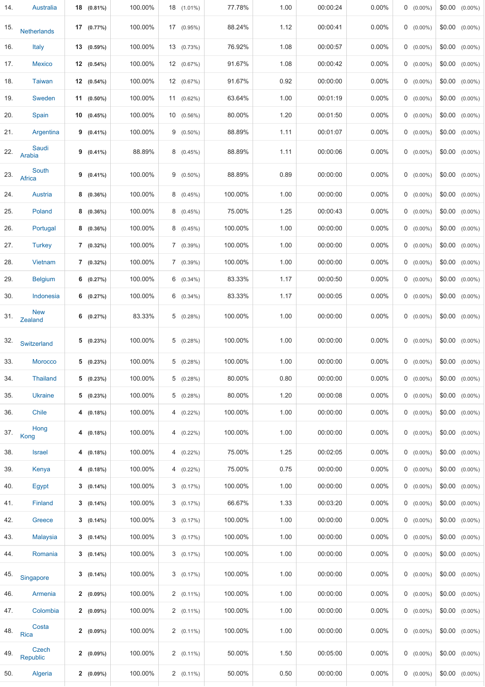| 14. | Australia             | 18 (0.81%)   | 100.00% | 18 (1.01%)   | 77.78%  | 1.00 | 00:00:24 | 0.00%    | $0$ (0.00%) | $$0.00$ $(0.00\%)$ |
|-----|-----------------------|--------------|---------|--------------|---------|------|----------|----------|-------------|--------------------|
| 15. | <b>Netherlands</b>    | 17(0.77%)    | 100.00% | 17 (0.95%)   | 88.24%  | 1.12 | 00:00:41 | 0.00%    | $0$ (0.00%) | $$0.00$ $(0.00\%)$ |
| 16. | Italy                 | $13(0.59\%)$ | 100.00% | 13 (0.73%)   | 76.92%  | 1.08 | 00:00:57 | 0.00%    | $0$ (0.00%) | $$0.00$ $(0.00\%)$ |
| 17. | <b>Mexico</b>         | 12(0.54%)    | 100.00% | 12 (0.67%)   | 91.67%  | 1.08 | 00:00:42 | $0.00\%$ | $0$ (0.00%) | $$0.00$ $(0.00\%)$ |
| 18. | <b>Taiwan</b>         | $12(0.54\%)$ | 100.00% | 12 (0.67%)   | 91.67%  | 0.92 | 00:00:00 | $0.00\%$ | $0$ (0.00%) | $$0.00$ $(0.00\%)$ |
| 19. | Sweden                | $11(0.50\%)$ | 100.00% | 11 (0.62%)   | 63.64%  | 1.00 | 00:01:19 | 0.00%    | $0$ (0.00%) | $$0.00$ $(0.00\%)$ |
| 20. | Spain                 | 10(0.45%)    | 100.00% | 10 (0.56%)   | 80.00%  | 1.20 | 00:01:50 | 0.00%    | $0$ (0.00%) | $$0.00$ $(0.00\%)$ |
| 21. | Argentina             | $9(0.41\%)$  | 100.00% | $9(0.50\%)$  | 88.89%  | 1.11 | 00:01:07 | $0.00\%$ | $0$ (0.00%) | $$0.00$ $(0.00\%)$ |
| 22. | Saudi<br>Arabia       | $9(0.41\%)$  | 88.89%  | 8(0.45%)     | 88.89%  | 1.11 | 00:00:06 | $0.00\%$ | $0$ (0.00%) | $$0.00$ $(0.00\%)$ |
| 23. | South<br>Africa       | $9(0.41\%)$  | 100.00% | $9(0.50\%)$  | 88.89%  | 0.89 | 00:00:00 | 0.00%    | $0$ (0.00%) | $$0.00$ $(0.00\%)$ |
| 24. | Austria               | $8(0.36\%)$  | 100.00% | 8(0.45%)     | 100.00% | 1.00 | 00:00:00 | 0.00%    | $0$ (0.00%) | $$0.00$ $(0.00\%)$ |
| 25. | Poland                | $8(0.36\%)$  | 100.00% | 8(0.45%)     | 75.00%  | 1.25 | 00:00:43 | 0.00%    | $0$ (0.00%) | $$0.00$ $(0.00\%)$ |
| 26. | Portugal              | $8(0.36\%)$  | 100.00% | 8(0.45%)     | 100.00% | 1.00 | 00:00:00 | 0.00%    | $0$ (0.00%) | $$0.00$ $(0.00\%)$ |
| 27. | <b>Turkey</b>         | $7(0.32\%)$  | 100.00% | 7(0.39%)     | 100.00% | 1.00 | 00:00:00 | 0.00%    | $0$ (0.00%) | $$0.00$ $(0.00\%)$ |
| 28. | Vietnam               | $7(0.32\%)$  | 100.00% | 7(0.39%)     | 100.00% | 1.00 | 00:00:00 | 0.00%    | $0$ (0.00%) | $$0.00$ $(0.00\%)$ |
| 29. | <b>Belgium</b>        | 6 $(0.27%)$  | 100.00% | $6(0.34\%)$  | 83.33%  | 1.17 | 00:00:50 | $0.00\%$ | $0$ (0.00%) | $$0.00$ $(0.00\%)$ |
| 30. | Indonesia             | 6(0.27%)     | 100.00% | $6(0.34\%)$  | 83.33%  | 1.17 | 00:00:05 | $0.00\%$ | $0$ (0.00%) | $$0.00$ $(0.00\%)$ |
| 31. | <b>New</b><br>Zealand | 6<br>(0.27%) | 83.33%  | 5(0.28%)     | 100.00% | 1.00 | 00:00:00 | $0.00\%$ | $0$ (0.00%) | $$0.00$ $(0.00\%)$ |
| 32. | Switzerland           | 5(0.23%)     | 100.00% | 5(0.28%)     | 100.00% | 1.00 | 00:00:00 | 0.00%    | $0$ (0.00%) | $$0.00$ $(0.00\%)$ |
| 33. | <b>Morocco</b>        | $5(0.23\%)$  | 100.00% | 5(0.28%)     | 100.00% | 1.00 | 00:00:00 | 0.00%    | $0$ (0.00%) | $$0.00$ $(0.00\%)$ |
| 34. | <b>Thailand</b>       | 5(0.23%)     | 100.00% | 5(0.28%)     | 80.00%  | 0.80 | 00:00:00 | $0.00\%$ | $0$ (0.00%) | $$0.00$ $(0.00\%)$ |
| 35. | Ukraine               | 5(0.23%)     | 100.00% | 5(0.28%)     | 80.00%  | 1.20 | 00:00:08 | $0.00\%$ | $0$ (0.00%) | $$0.00$ $(0.00\%)$ |
| 36. | Chile                 | 4(0.18%)     | 100.00% | $4(0.22\%)$  | 100.00% | 1.00 | 00:00:00 | 0.00%    | $0$ (0.00%) | $$0.00$ $(0.00\%)$ |
| 37. | Hong<br>Kong          | 4(0.18%)     | 100.00% | 4 $(0.22\%)$ | 100.00% | 1.00 | 00:00:00 | $0.00\%$ | $0$ (0.00%) | $$0.00$ $(0.00\%)$ |
| 38. | <b>Israel</b>         | 4(0.18%)     | 100.00% | $4(0.22\%)$  | 75.00%  | 1.25 | 00:02:05 | 0.00%    | $0$ (0.00%) | $$0.00$ $(0.00\%)$ |
| 39. | Kenya                 | 4(0.18%)     | 100.00% | $4(0.22\%)$  | 75.00%  | 0.75 | 00:00:00 | 0.00%    | $0$ (0.00%) | $$0.00$ $(0.00\%)$ |
| 40. | Egypt                 | $3(0.14\%)$  | 100.00% | 3(0.17%)     | 100.00% | 1.00 | 00:00:00 | $0.00\%$ | $0$ (0.00%) | $$0.00$ $(0.00\%)$ |
| 41. | Finland               | $3(0.14\%)$  | 100.00% | 3(0.17%)     | 66.67%  | 1.33 | 00:03:20 | $0.00\%$ | $0$ (0.00%) | $$0.00$ $(0.00\%)$ |
| 42. | Greece                | $3(0.14\%)$  | 100.00% | 3(0.17%)     | 100.00% | 1.00 | 00:00:00 | $0.00\%$ | $0$ (0.00%) | $$0.00$ $(0.00\%)$ |
| 43. | <b>Malaysia</b>       | $3(0.14\%)$  | 100.00% | 3(0.17%)     | 100.00% | 1.00 | 00:00:00 | $0.00\%$ | $0$ (0.00%) | $$0.00$ $(0.00\%)$ |
| 44. | Romania               | $3(0.14\%)$  | 100.00% | 3(0.17%)     | 100.00% | 1.00 | 00:00:00 | 0.00%    | $0$ (0.00%) | $$0.00$ $(0.00\%)$ |
| 45. | Singapore             | $3(0.14\%)$  | 100.00% | 3(0.17%)     | 100.00% | 1.00 | 00:00:00 | 0.00%    | $0$ (0.00%) | $$0.00$ $(0.00\%)$ |
| 46. | Armenia               | $2(0.09\%)$  | 100.00% | $2(0.11\%)$  | 100.00% | 1.00 | 00:00:00 | $0.00\%$ | $0$ (0.00%) | $$0.00$ $(0.00\%)$ |
| 47. | Colombia              | $2(0.09\%)$  | 100.00% | $2(0.11\%)$  | 100.00% | 1.00 | 00:00:00 | 0.00%    | $0$ (0.00%) | $$0.00$ $(0.00\%)$ |
| 48. | Costa<br>Rica         | $2(0.09\%)$  | 100.00% | $2(0.11\%)$  | 100.00% | 1.00 | 00:00:00 | $0.00\%$ | $0$ (0.00%) | $$0.00$ $(0.00\%)$ |
| 49. | Czech<br>Republic     | $2(0.09\%)$  | 100.00% | $2(0.11\%)$  | 50.00%  | 1.50 | 00:05:00 | $0.00\%$ | $0$ (0.00%) | $$0.00$ $(0.00\%)$ |
| 50. | Algeria               | $2(0.09\%)$  | 100.00% | $2(0.11\%)$  | 50.00%  | 0.50 | 00:00:00 | $0.00\%$ | $0$ (0.00%) | $$0.00$ $(0.00\%)$ |